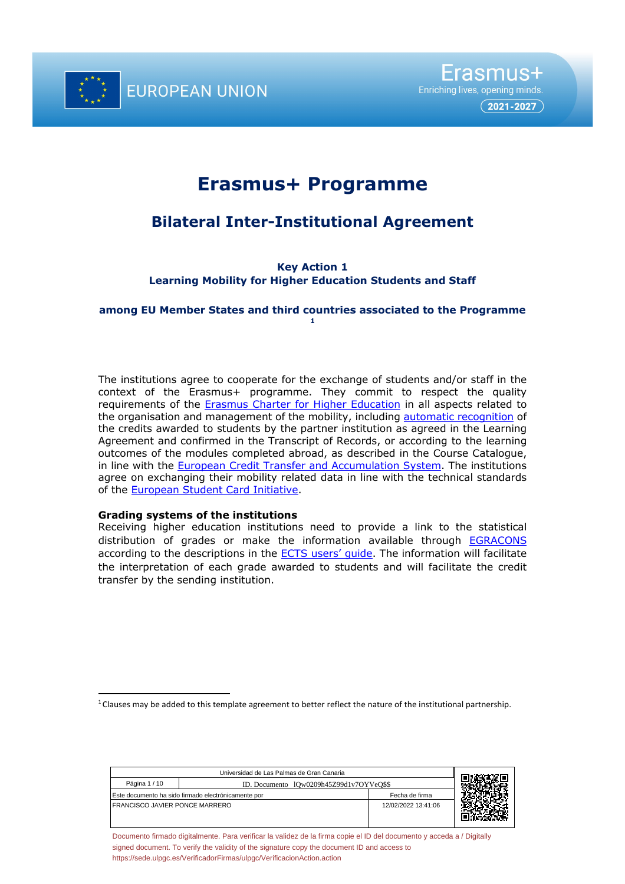

# **Erasmus+ Programme**

# **Bilateral Inter-Institutional Agreement**

**Key Action 1 Learning Mobility for Higher Education Students and Staff**

#### **among EU Member States and third countries associated to the Programme 1**

The institutions agree to cooperate for the exchange of students and/or staff in the context of the Erasmus+ programme. They commit to respect the quality requirements of the **Erasmus Charter for Higher Education** in all aspects related to the organisation and management of the mobility, including automatic recognition of the credits awarded to students by the partner institution as agreed in the Learning Agreement and confirmed in the Transcript of Records, or according to the learning outcomes of the modules completed abroad, as described in the Course Catalogue, in line with the European Credit Transfer and Accumulation System. The institutions agree on exchanging their mobility related data in line with the technical standards of the European Student Card Initiative.

# **Grading systems of the institutions**

Receiving higher education institutions need to provide a link to the statistical distribution of grades or make the information available through EGRACONS according to the descriptions in the ECTS users' guide. The information will facilitate the interpretation of each grade awarded to students and will facilitate the credit transfer by the sending institution.

| Universidad de Las Palmas de Gran Canaria                 |  |                     |  |
|-----------------------------------------------------------|--|---------------------|--|
| Página 1 / 10<br>ID. Documento 10w0209h45Z99d1v7OYVeO\$\$ |  |                     |  |
| Este documento ha sido firmado electrónicamente por       |  | Fecha de firma      |  |
| <b>FRANCISCO JAVIER PONCE MARRERO</b>                     |  | 12/02/2022 13:41:06 |  |
|                                                           |  |                     |  |
|                                                           |  |                     |  |

 $1$  Clauses may be added to this template agreement to better reflect the nature of the institutional partnership.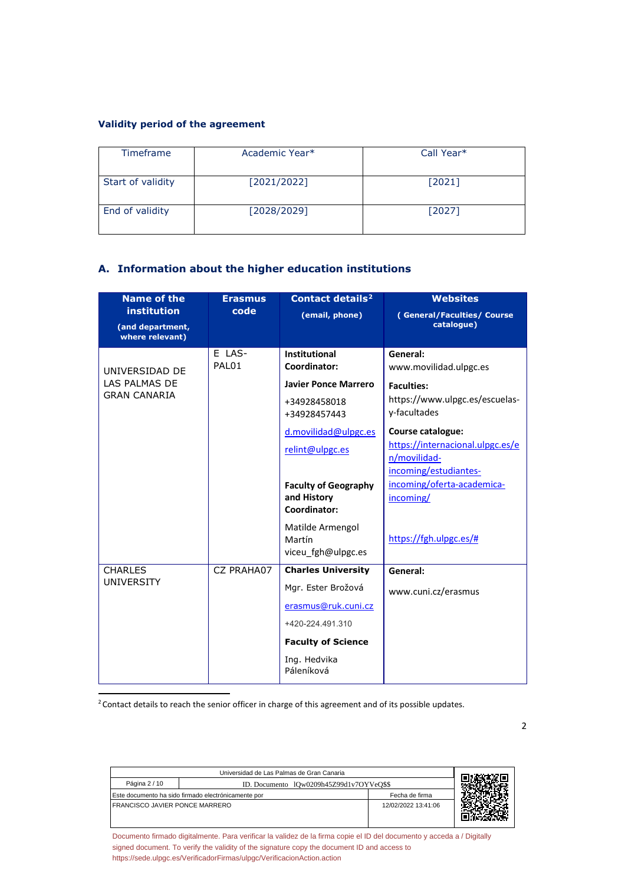# **Validity period of the agreement**

| <b>Timeframe</b>  | Academic Year* | Call Year* |
|-------------------|----------------|------------|
| Start of validity | [2021/2022]    | $[2021]$   |
| End of validity   | [2028/2029]    | $[2027]$   |

# **A. Information about the higher education institutions**

| <b>Name of the</b>                                        | <b>Erasmus</b>  | <b>Contact details<sup>2</sup></b>                            | <b>Websites</b>                                                                                |
|-----------------------------------------------------------|-----------------|---------------------------------------------------------------|------------------------------------------------------------------------------------------------|
| <b>institution</b><br>(and department,<br>where relevant) | code            | (email, phone)                                                | (General/Faculties/Course<br>catalogue)                                                        |
| UNIVERSIDAD DE                                            | E LAS-<br>PAL01 | Institutional<br>Coordinator:                                 | General:<br>www.movilidad.ulpgc.es                                                             |
| LAS PALMAS DE<br><b>GRAN CANARIA</b>                      |                 | <b>Javier Ponce Marrero</b>                                   | <b>Faculties:</b>                                                                              |
|                                                           |                 | +34928458018<br>+34928457443                                  | https://www.ulpgc.es/escuelas-<br>y-facultades                                                 |
|                                                           |                 | d.movilidad@ulpgc.es<br>relint@ulpgc.es                       | Course catalogue:<br>https://internacional.ulpgc.es/e<br>n/movilidad-<br>incoming/estudiantes- |
|                                                           |                 | <b>Faculty of Geography</b><br>and History<br>Coordinator:    | incoming/oferta-academica-<br>incoming/                                                        |
|                                                           |                 | Matilde Armengol<br>Martín<br>viceu fgh@ulpgc.es              | https://fgh.ulpgc.es/#                                                                         |
| <b>CHARLES</b>                                            | CZ PRAHA07      | <b>Charles University</b>                                     | General:                                                                                       |
| <b>UNIVERSITY</b>                                         |                 | Mgr. Ester Brožová<br>erasmus@ruk.cuni.cz<br>+420-224.491.310 | www.cuni.cz/erasmus                                                                            |
|                                                           |                 | <b>Faculty of Science</b>                                     |                                                                                                |
|                                                           |                 | Ing. Hedvika<br>Páleníková                                    |                                                                                                |

<sup>2</sup> Contact details to reach the senior officer in charge of this agreement and of its possible updates.

Universidad de Las Palmas de Gran Canaria Página 2 / 10 **ID.** Documento lQw0209h45Z99d1v7OYVeQ\$\$ Este documento ha sido firmado electrónicamente por Fecha de firma FRANCISCO JAVIER PONCE MARRERO 12/02/2022 13:41:06 回復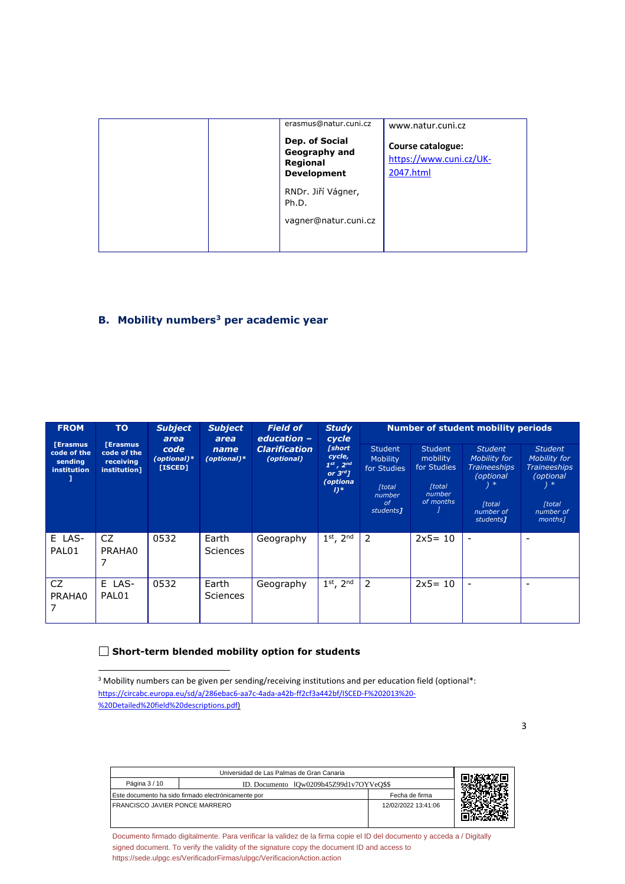| erasmus@natur.cuni.cz<br>Dep. of Social<br>Geography and<br>Regional<br><b>Development</b> | www.natur.cuni.cz<br>Course catalogue:<br>https://www.cuni.cz/UK-<br>2047.html |
|--------------------------------------------------------------------------------------------|--------------------------------------------------------------------------------|
| RNDr. Jiří Vágner,<br>Ph.D.<br>vagner@natur.cuni.cz                                        |                                                                                |

# **B.** Mobility numbers<sup>3</sup> per academic year

| <b>FROM</b>                                             | <b>TO</b>                                                  | <b>Subject</b><br>area         | <b>Subject</b><br>area   | <b>Field of</b><br>education -     | <b>Study</b><br>cycle |                                                                                                       |                                                                                                            | <b>Number of student mobility periods</b>                                         |                                                                                                                                     |                                                                                                                    |
|---------------------------------------------------------|------------------------------------------------------------|--------------------------------|--------------------------|------------------------------------|-----------------------|-------------------------------------------------------------------------------------------------------|------------------------------------------------------------------------------------------------------------|-----------------------------------------------------------------------------------|-------------------------------------------------------------------------------------------------------------------------------------|--------------------------------------------------------------------------------------------------------------------|
| [Erasmus]<br>code of the<br>sending<br>institution<br>1 | <b>Erasmus</b><br>code of the<br>receiving<br>institution] | code<br>(optional)*<br>[ISCED] | name<br>(optional)*      | <b>Clarification</b><br>(optional) |                       | [short<br>cycle,<br>$1^{st}$ , $2^{nd}$<br>or $3^{rd}$ $\overline{1}$<br>(optiona<br>$I$ <sup>*</sup> | <b>Student</b><br><b>Mobility</b><br>for Studies<br><b>[total</b><br>number<br>of<br>students <sub>1</sub> | <b>Student</b><br>mobility<br>for Studies<br><b>Ttotal</b><br>number<br>of months | <b>Student</b><br>Mobility for<br><b>Traineeships</b><br>(optional<br>$) *$<br><b>[total]</b><br>number of<br>students <sub>1</sub> | <b>Student</b><br>Mobility for<br><b>Traineeships</b><br>(optional<br>) ∗<br><b>[total</b><br>number of<br>months] |
| E LAS-<br>PAL01                                         | CZ.<br>PRAHA0<br>7                                         | 0532                           | Earth<br><b>Sciences</b> | Geography                          | $1st$ , $2nd$         | 2                                                                                                     | $2x5 = 10$                                                                                                 | $\overline{\phantom{a}}$                                                          | $\overline{\phantom{0}}$                                                                                                            |                                                                                                                    |
| CZ.<br>PRAHA0                                           | E LAS-<br>PAL01                                            | 0532                           | Earth<br><b>Sciences</b> | Geography                          | $1st$ , $2nd$         | 2                                                                                                     | $2x5 = 10$                                                                                                 | $\overline{\phantom{a}}$                                                          | $\overline{\phantom{0}}$                                                                                                            |                                                                                                                    |

### **Short-term blended mobility option for students**

3

| Universidad de Las Palmas de Gran Canaria                 |                                                     |                     |  |  |
|-----------------------------------------------------------|-----------------------------------------------------|---------------------|--|--|
| Página 3 / 10<br>ID. Documento 10w0209h45Z99d1v7OYVeO\$\$ |                                                     |                     |  |  |
|                                                           | Este documento ha sido firmado electrónicamente por | Fecha de firma      |  |  |
| <b>FRANCISCO JAVIER PONCE MARRERO</b>                     |                                                     | 12/02/2022 13:41:06 |  |  |

<sup>&</sup>lt;sup>3</sup> Mobility numbers can be given per sending/receiving institutions and per education field (optional\*: https://circabc.europa.eu/sd/a/286ebac6-aa7c-4ada-a42b-ff2cf3a442bf/ISCED-F%202013%20- %20Detailed%20field%20descriptions.pdf)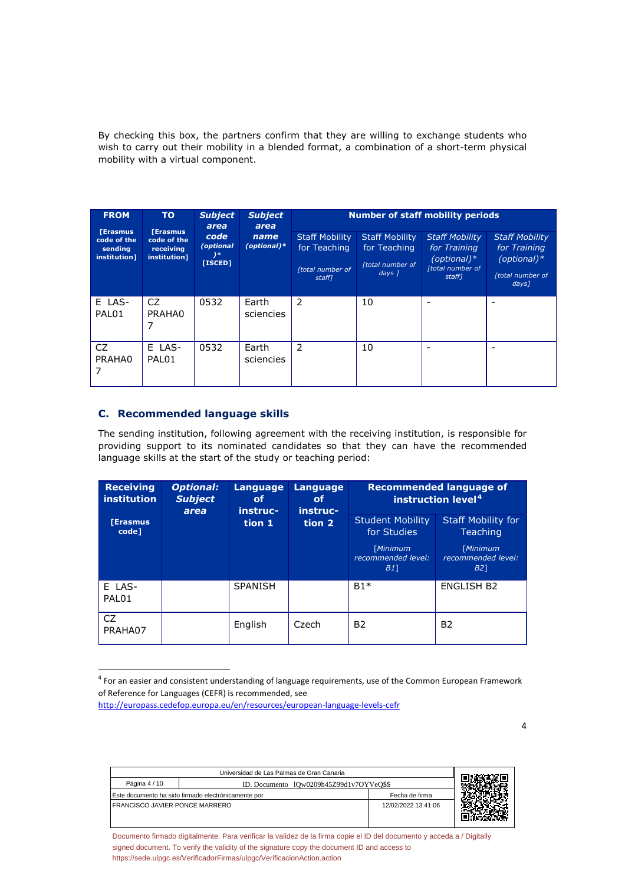By checking this box, the partners confirm that they are willing to exchange students who wish to carry out their mobility in a blended format, a combination of a short-term physical mobility with a virtual component.

| <b>FROM</b>                                               | <b>TO</b>                                                   | <b>Subject</b><br>area                | <b>Subject</b><br>area |                                                                     | <b>Number of staff mobility periods</b>                                        |                                                                                      |                                                                                                 |
|-----------------------------------------------------------|-------------------------------------------------------------|---------------------------------------|------------------------|---------------------------------------------------------------------|--------------------------------------------------------------------------------|--------------------------------------------------------------------------------------|-------------------------------------------------------------------------------------------------|
| <b>[Erasmus</b><br>code of the<br>sending<br>institution] | <b>[Erasmus</b><br>code of the<br>receiving<br>institution] | code<br>(optional<br>$)$ *<br>[ISCED] | name<br>$(optional)*$  | <b>Staff Mobility</b><br>for Teaching<br>[total number of<br>staff] | <b>Staff Mobility</b><br>for Teaching<br>[total number of<br>days <sub>1</sub> | <b>Staff Mobility</b><br>for Training<br>$(optional)*$<br>[total number of<br>staff1 | <b>Staff Mobility</b><br>for Training<br>$(optional)*$<br>[total number of<br>days <sub>l</sub> |
| E LAS-<br>PAL01                                           | CZ.<br>PRAHA0<br>7                                          | 0532                                  | Earth<br>sciencies     | 2                                                                   | 10                                                                             |                                                                                      |                                                                                                 |
| CZ.<br>PRAHA0<br>7                                        | E LAS-<br>PAL01                                             | 0532                                  | Earth<br>sciencies     | 2                                                                   | 10                                                                             |                                                                                      |                                                                                                 |

# **C. Recommended language skills**

The sending institution, following agreement with the receiving institution, is responsible for providing support to its nominated candidates so that they can have the recommended language skills at the start of the study or teaching period:

| <b>Receiving</b><br><i>institution</i> | <b>Optional:</b><br><b>Subject</b><br>area | <b>Language</b><br><b>Language</b><br>οf<br>οf<br>instruc-<br>instruc- | <b>Recommended language of</b><br>instruction level <sup>4</sup> |                                                                                |                                                                                       |
|----------------------------------------|--------------------------------------------|------------------------------------------------------------------------|------------------------------------------------------------------|--------------------------------------------------------------------------------|---------------------------------------------------------------------------------------|
| <b>Erasmus</b><br>code]                |                                            | tion 1                                                                 | tion 2                                                           | <b>Student Mobility</b><br>for Studies<br>[Minimum<br>recommended level:<br>B1 | <b>Staff Mobility for</b><br><b>Teaching</b><br>[Minimum<br>recommended level:<br>B21 |
| E LAS-<br>PAL01                        |                                            | <b>SPANISH</b>                                                         |                                                                  | $B1*$                                                                          | <b>ENGLISH B2</b>                                                                     |
| CZ.<br>PRAHA07                         |                                            | English                                                                | Czech                                                            | B <sub>2</sub>                                                                 | B <sub>2</sub>                                                                        |

 <sup>4</sup> For an easier and consistent understanding of language requirements, use of the Common European Framework of Reference for Languages (CEFR) is recommended, see

| Universidad de Las Palmas de Gran Canaria                 |                                                     |                     |  |  |
|-----------------------------------------------------------|-----------------------------------------------------|---------------------|--|--|
| Página 4 / 10<br>ID. Documento 10w0209h45Z99d1v7OYVeO\$\$ |                                                     |                     |  |  |
|                                                           | Este documento ha sido firmado electrónicamente por | Fecha de firma      |  |  |
| FRANCISCO JAVIER PONCE MARRERO                            |                                                     | 12/02/2022 13:41:06 |  |  |
|                                                           |                                                     |                     |  |  |

[Documento firmado digitalmente. Para verificar la validez de la firma copie el ID del documento y acceda a / Digitally](https://sede.ulpgc.es/VerificadorFirmas/ulpgc/VerificacionAction.action?codigoVerificacion=lQw0209h45Z99d1v7OYVeQ$$) [signed document. To verify the validity of the signature copy the document ID and access to](https://sede.ulpgc.es/VerificadorFirmas/ulpgc/VerificacionAction.action?codigoVerificacion=lQw0209h45Z99d1v7OYVeQ$$) [https://sede.ulpgc.es/VerificadorFirmas/ulpgc/VerificacionAction.action](https://sede.ulpgc.es/VerificadorFirmas/ulpgc/VerificacionAction.action?codigoVerificacion=lQw0209h45Z99d1v7OYVeQ$$)

http://europass.cedefop.europa.eu/en/resources/european-language-levels-cefr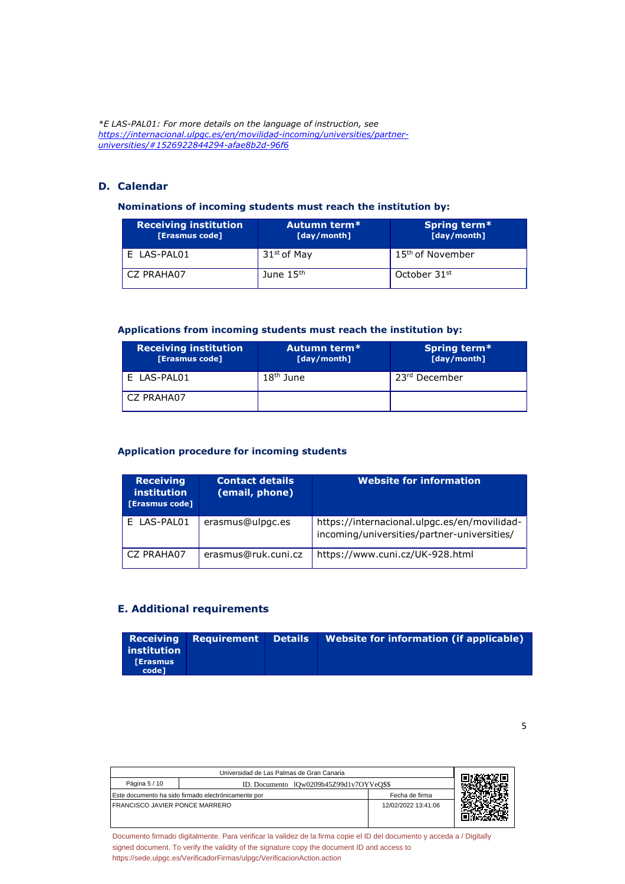*\*E LAS-PAL01: For more details on the language of instruction, see https://internacional.ulpgc.es/en/movilidad-incoming/universities/partneruniversities/#1526922844294-afae8b2d-96f6*

# **D. Calendar**

#### **Nominations of incoming students must reach the institution by:**

| <b>Receiving institution</b><br>[Erasmus code] | Autumn term*<br>[day/month] | Spring term*<br>[day/month]  |
|------------------------------------------------|-----------------------------|------------------------------|
| E LAS-PAL01                                    | 31 <sup>st</sup> of May     | 15 <sup>th</sup> of November |
| CZ PRAHA07                                     | June $15th$                 | October 31 <sup>st</sup>     |

#### **Applications from incoming students must reach the institution by:**

| <b>Receiving institution</b><br>[Erasmus code] | Autumn term*<br>[day/month] | Spring term*<br>[day/month] |
|------------------------------------------------|-----------------------------|-----------------------------|
| E LAS-PAL01                                    | $18th$ June                 | 23 <sup>rd</sup> December   |
| CZ PRAHA07                                     |                             |                             |

#### **Application procedure for incoming students**

| <b>Receiving</b><br><b>institution</b><br>[Erasmus code] | <b>Contact details</b><br>(email, phone) | <b>Website for information</b>                                                              |
|----------------------------------------------------------|------------------------------------------|---------------------------------------------------------------------------------------------|
| E LAS-PAL01                                              | erasmus@ulpgc.es                         | https://internacional.ulpgc.es/en/movilidad-<br>incoming/universities/partner-universities/ |
| CZ PRAHA07                                               | erasmus@ruk.cuni.cz                      | https://www.cuni.cz/UK-928.html                                                             |

# **E. Additional requirements**

|                 | <b>Receiving Requirement Details</b> | <b>Website for information (if applicable)</b> |
|-----------------|--------------------------------------|------------------------------------------------|
| institution     |                                      |                                                |
| <b>TErasmus</b> |                                      |                                                |
| code1           |                                      |                                                |

5

| Universidad de Las Palmas de Gran Canaria |                                                     |                     |  |
|-------------------------------------------|-----------------------------------------------------|---------------------|--|
| Página 5 / 10                             | ID. Documento 10w0209h45Z99d1v7OYVeO\$\$            |                     |  |
|                                           | Este documento ha sido firmado electrónicamente por | Fecha de firma      |  |
| I FRANCISCO JAVIER PONCE MARRERO          |                                                     | 12/02/2022 13:41:06 |  |
|                                           |                                                     |                     |  |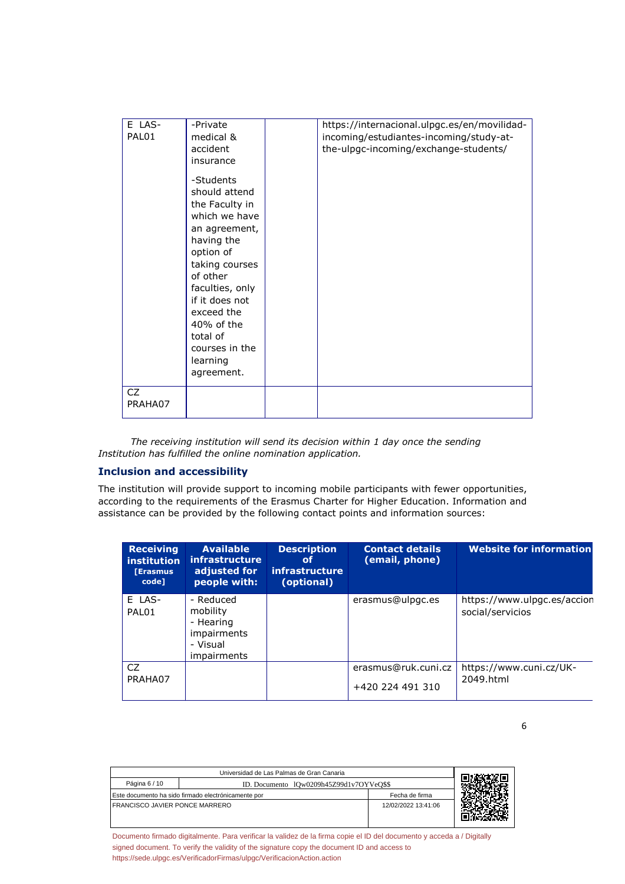| E LAS-<br>PAL01<br>CZ. | -Private<br>medical &<br>accident<br>insurance<br>-Students<br>should attend<br>the Faculty in<br>which we have<br>an agreement,<br>having the<br>option of<br>taking courses<br>of other<br>faculties, only<br>if it does not<br>exceed the<br>40% of the<br>total of<br>courses in the<br>learning<br>agreement. | https://internacional.ulpgc.es/en/movilidad-<br>incoming/estudiantes-incoming/study-at-<br>the-ulpgc-incoming/exchange-students/ |
|------------------------|--------------------------------------------------------------------------------------------------------------------------------------------------------------------------------------------------------------------------------------------------------------------------------------------------------------------|----------------------------------------------------------------------------------------------------------------------------------|
| PRAHA07                |                                                                                                                                                                                                                                                                                                                    |                                                                                                                                  |

*The receiving institution will send its decision within 1 day once the sending Institution has fulfilled the online nomination application.*

#### **Inclusion and accessibility**

The institution will provide support to incoming mobile participants with fewer opportunities, according to the requirements of the Erasmus Charter for Higher Education. Information and assistance can be provided by the following contact points and information sources:

| <b>Receiving</b><br>institution<br><b>Frasmus</b><br>code] | <b>Available</b><br>infrastructure<br>adjusted for<br>people with:                         | <b>Description</b><br>οf<br>infrastructure<br>(optional) | <b>Contact details</b><br>(email, phone) | Website for information                         |
|------------------------------------------------------------|--------------------------------------------------------------------------------------------|----------------------------------------------------------|------------------------------------------|-------------------------------------------------|
| E LAS-<br>PAL01                                            | - Reduced<br>mobility<br>- Hearing<br><i>impairments</i><br>- Visual<br><i>impairments</i> |                                                          | erasmus@ulpgc.es                         | https://www.ulpgc.es/accion<br>social/servicios |
| CZ<br>PRAHA07                                              |                                                                                            |                                                          | erasmus@ruk.cuni.cz<br>+420 224 491 310  | https://www.cuni.cz/UK-<br>2049.html            |

6

| Universidad de Las Palmas de Gran Canaria |                                                     |                     |  |
|-------------------------------------------|-----------------------------------------------------|---------------------|--|
| Página 6 / 10                             | ID. Documento 10w0209h45Z99d1v7OYVeO\$\$            |                     |  |
|                                           | Este documento ha sido firmado electrónicamente por | Fecha de firma      |  |
| <b>FRANCISCO JAVIER PONCE MARRERO</b>     |                                                     | 12/02/2022 13:41:06 |  |
|                                           |                                                     |                     |  |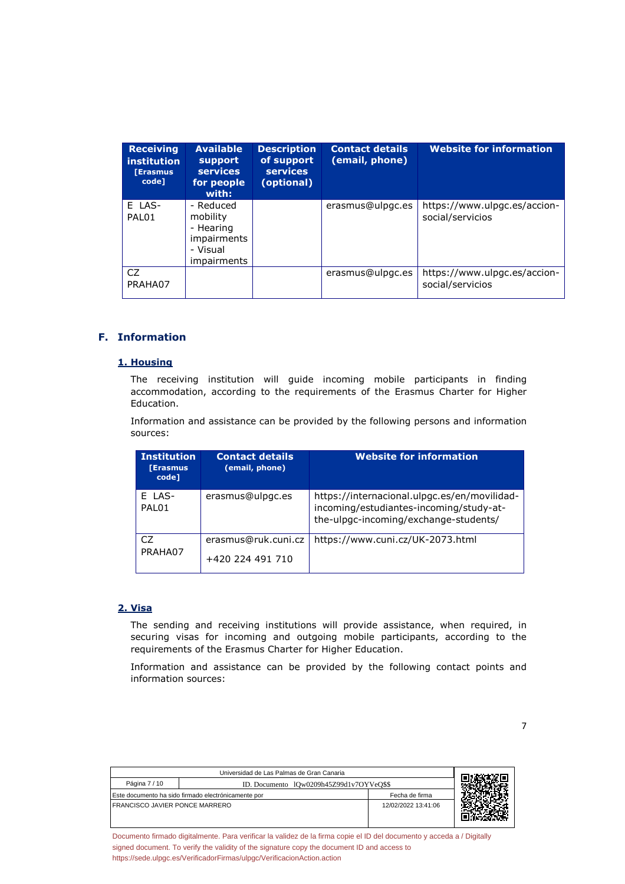| <b>Receiving</b><br><i>institution</i><br><b>[Erasmus</b><br>code] | <b>Available</b><br>support<br><b>services</b><br>for people<br>with:                      | <b>Description</b><br>of support<br><b>services</b><br>(optional) | <b>Contact details</b><br>(email, phone) | <b>Website for information</b>                   |
|--------------------------------------------------------------------|--------------------------------------------------------------------------------------------|-------------------------------------------------------------------|------------------------------------------|--------------------------------------------------|
| E LAS-<br><b>PAI 01</b>                                            | - Reduced<br>mobility<br>- Hearing<br><i>impairments</i><br>- Visual<br><i>impairments</i> |                                                                   | erasmus@ulpgc.es                         | https://www.ulpgc.es/accion-<br>social/servicios |
| CZ<br>PRAHA07                                                      |                                                                                            |                                                                   | erasmus@ulpgc.es                         | https://www.ulpgc.es/accion-<br>social/servicios |

#### **F. Information**

#### **1. Housing**

The receiving institution will guide incoming mobile participants in finding accommodation, according to the requirements of the Erasmus Charter for Higher Education.

Information and assistance can be provided by the following persons and information sources:

| <b>Institution</b><br><b>[Erasmus</b><br>code] | <b>Contact details</b><br>(email, phone) | <b>Website for information</b>                                                                                                   |
|------------------------------------------------|------------------------------------------|----------------------------------------------------------------------------------------------------------------------------------|
| E LAS-<br><b>PAI 01</b>                        | erasmus@ulpgc.es                         | https://internacional.ulpgc.es/en/movilidad-<br>incoming/estudiantes-incoming/study-at-<br>the-ulpgc-incoming/exchange-students/ |
| CZ<br>PRAHA07                                  | erasmus@ruk.cuni.cz<br>+420 224 491 710  | https://www.cuni.cz/UK-2073.html                                                                                                 |

# **2. Visa**

The sending and receiving institutions will provide assistance, when required, in securing visas for incoming and outgoing mobile participants, according to the requirements of the Erasmus Charter for Higher Education.

Information and assistance can be provided by the following contact points and information sources:

7

| Universidad de Las Palmas de Gran Canaria |                                                     |                     |  |
|-------------------------------------------|-----------------------------------------------------|---------------------|--|
| Página 7 / 10                             | ID. Documento 10w0209h45Z99d1v7OYVeO\$\$            |                     |  |
|                                           | Este documento ha sido firmado electrónicamente por | Fecha de firma      |  |
| I FRANCISCO JAVIER PONCE MARRERO          |                                                     | 12/02/2022 13:41:06 |  |
|                                           |                                                     |                     |  |
|                                           |                                                     |                     |  |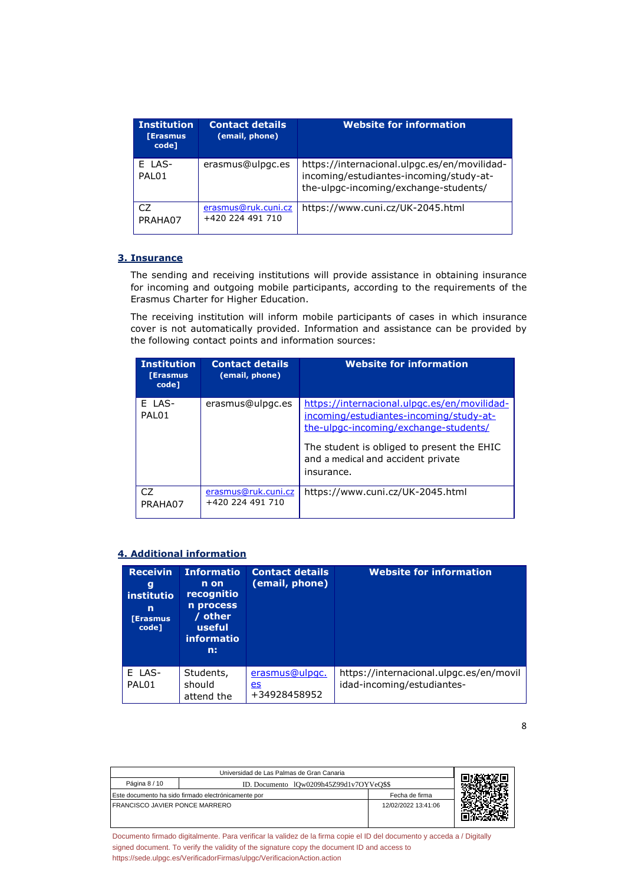| <b>Institution</b><br><b>TErasmus</b><br>code] | <b>Contact details</b><br>(email, phone) | <b>Website for information</b>                                                                                                   |
|------------------------------------------------|------------------------------------------|----------------------------------------------------------------------------------------------------------------------------------|
| E LAS-<br><b>PAI 01</b>                        | erasmus@ulpgc.es                         | https://internacional.ulpgc.es/en/movilidad-<br>incoming/estudiantes-incoming/study-at-<br>the-ulpgc-incoming/exchange-students/ |
| C7<br>PRAHA07                                  | erasmus@ruk.cuni.cz<br>+420 224 491 710  | https://www.cuni.cz/UK-2045.html                                                                                                 |

#### **3. Insurance**

The sending and receiving institutions will provide assistance in obtaining insurance for incoming and outgoing mobile participants, according to the requirements of the Erasmus Charter for Higher Education.

The receiving institution will inform mobile participants of cases in which insurance cover is not automatically provided. Information and assistance can be provided by the following contact points and information sources:

| <b>Institution</b><br><b>Ferasmus</b><br>code] | <b>Contact details</b><br>(email, phone) | <b>Website for information</b>                                                                                                                                                 |
|------------------------------------------------|------------------------------------------|--------------------------------------------------------------------------------------------------------------------------------------------------------------------------------|
| E LAS-<br>PAL01                                | erasmus@ulpgc.es                         | https://internacional.ulpgc.es/en/movilidad-<br>incoming/estudiantes-incoming/study-at-<br>the-ulpgc-incoming/exchange-students/<br>The student is obliged to present the EHIC |
|                                                |                                          | and a medical and accident private<br>insurance.                                                                                                                               |
| CZ.<br>PRAHA07                                 | erasmus@ruk.cuni.cz<br>+420 224 491 710  | https://www.cuni.cz/UK-2045.html                                                                                                                                               |

#### **4. Additional information**

| <b>Receivin</b><br>g<br><i>institutio</i><br>n<br><b>[Erasmus</b><br>code] | <b>Informatio</b><br>n on<br>recognitio<br>n process<br>/ other<br>useful<br><i>informatio</i><br>n: | <b>Contact details</b><br>(email, phone)    | <b>Website for information</b>                                        |
|----------------------------------------------------------------------------|------------------------------------------------------------------------------------------------------|---------------------------------------------|-----------------------------------------------------------------------|
| E LAS-<br>PAL01                                                            | Students,<br>should<br>attend the                                                                    | erasmus@ulpgc.<br><u>es</u><br>+34928458952 | https://internacional.ulpgc.es/en/movil<br>idad-incoming/estudiantes- |

| Universidad de Las Palmas de Gran Canaria                             |                                          |                     |  |
|-----------------------------------------------------------------------|------------------------------------------|---------------------|--|
| Página 8 / 10                                                         | ID. Documento 1Qw0209h45Z99d1v7OYVeO\$\$ |                     |  |
| Este documento ha sido firmado electrónicamente por<br>Fecha de firma |                                          |                     |  |
| I FRANCISCO JAVIER PONCE MARRERO                                      |                                          | 12/02/2022 13:41:06 |  |
|                                                                       |                                          |                     |  |
|                                                                       |                                          |                     |  |

[Documento firmado digitalmente. Para verificar la validez de la firma copie el ID del documento y acceda a / Digitally](https://sede.ulpgc.es/VerificadorFirmas/ulpgc/VerificacionAction.action?codigoVerificacion=lQw0209h45Z99d1v7OYVeQ$$) [signed document. To verify the validity of the signature copy the document ID and access to](https://sede.ulpgc.es/VerificadorFirmas/ulpgc/VerificacionAction.action?codigoVerificacion=lQw0209h45Z99d1v7OYVeQ$$) [https://sede.ulpgc.es/VerificadorFirmas/ulpgc/VerificacionAction.action](https://sede.ulpgc.es/VerificadorFirmas/ulpgc/VerificacionAction.action?codigoVerificacion=lQw0209h45Z99d1v7OYVeQ$$)

8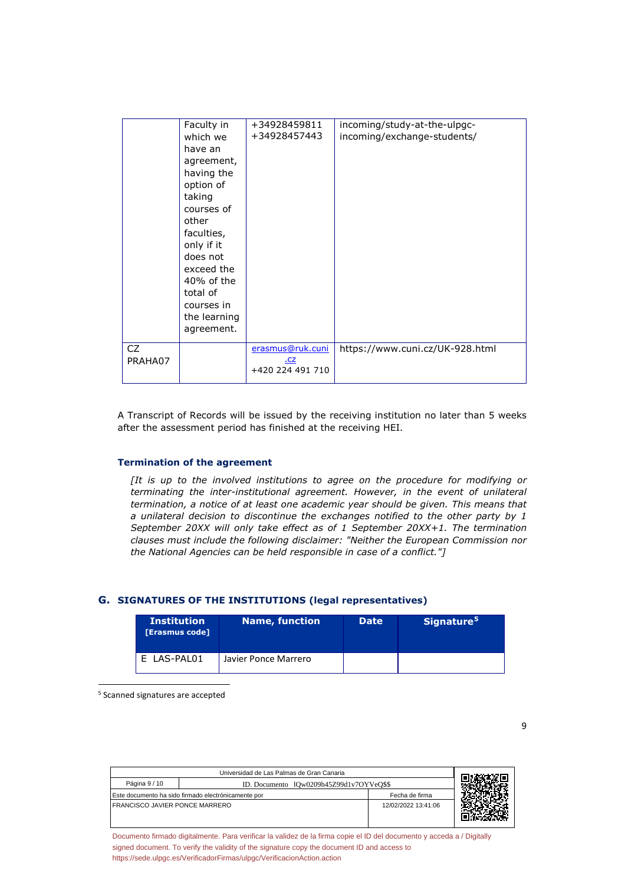|               | Faculty in<br>which we<br>have an<br>agreement,<br>having the<br>option of<br>taking<br>courses of<br>other<br>faculties,<br>only if it<br>does not<br>exceed the<br>40% of the<br>total of<br>courses in<br>the learning | +34928459811<br>+34928457443                | incoming/study-at-the-ulpgc-<br>incoming/exchange-students/ |
|---------------|---------------------------------------------------------------------------------------------------------------------------------------------------------------------------------------------------------------------------|---------------------------------------------|-------------------------------------------------------------|
|               | agreement.                                                                                                                                                                                                                |                                             |                                                             |
| CZ<br>PRAHA07 |                                                                                                                                                                                                                           | erasmus@ruk.cuni<br>.cz<br>+420 224 491 710 | https://www.cuni.cz/UK-928.html                             |

A Transcript of Records will be issued by the receiving institution no later than 5 weeks after the assessment period has finished at the receiving HEI.

#### **Termination of the agreement**

*[It is up to the involved institutions to agree on the procedure for modifying or terminating the inter-institutional agreement. However, in the event of unilateral termination, a notice of at least one academic year should be given. This means that a unilateral decision to discontinue the exchanges notified to the other party by 1 September 20XX will only take effect as of 1 September 20XX+1. The termination clauses must include the following disclaimer: "Neither the European Commission nor the National Agencies can be held responsible in case of a conflict."]*

#### **G. SIGNATURES OF THE INSTITUTIONS (legal representatives)**

| <b>Institution</b><br>[Erasmus code] | Name, function'      | <b>Date</b> | Signature <sup>5</sup> |
|--------------------------------------|----------------------|-------------|------------------------|
| LAS-PAL01                            | Javier Ponce Marrero |             |                        |

5 Scanned signatures are accepted

| Universidad de Las Palmas de Gran Canaria                 |  |                     |  |
|-----------------------------------------------------------|--|---------------------|--|
| Página 9 / 10<br>ID. Documento 10w0209h45Z99d1v7OYVeO\$\$ |  |                     |  |
| Este documento ha sido firmado electrónicamente por       |  | Fecha de firma      |  |
| <b>FRANCISCO JAVIER PONCE MARRERO</b>                     |  | 12/02/2022 13:41:06 |  |
|                                                           |  |                     |  |
|                                                           |  |                     |  |

[Documento firmado digitalmente. Para verificar la validez de la firma copie el ID del documento y acceda a / Digitally](https://sede.ulpgc.es/VerificadorFirmas/ulpgc/VerificacionAction.action?codigoVerificacion=lQw0209h45Z99d1v7OYVeQ$$) [signed document. To verify the validity of the signature copy the document ID and access to](https://sede.ulpgc.es/VerificadorFirmas/ulpgc/VerificacionAction.action?codigoVerificacion=lQw0209h45Z99d1v7OYVeQ$$) [https://sede.ulpgc.es/VerificadorFirmas/ulpgc/VerificacionAction.action](https://sede.ulpgc.es/VerificadorFirmas/ulpgc/VerificacionAction.action?codigoVerificacion=lQw0209h45Z99d1v7OYVeQ$$)

9